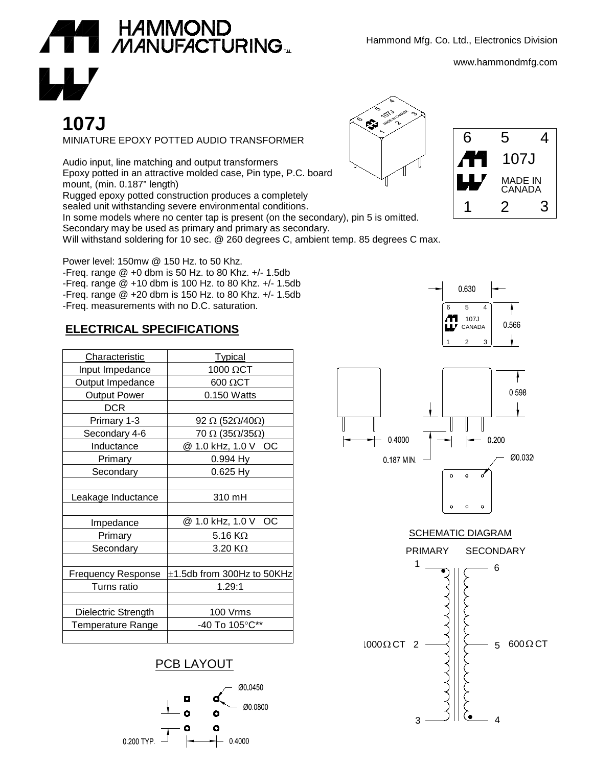

# **107J**

MINIATURE EPOXY POTTED AUDIO TRANSFORMER

Audio input, line matching and output transformers Epoxy potted in an attractive molded case, Pin type, P.C. board mount, (min. 0.187" length) Rugged epoxy potted construction produces a completely sealed unit withstanding severe environmental conditions. In some models where no center tap is present (on the secondary), pin 5 is omitted. Secondary may be used as primary and primary as secondary. Will withstand soldering for 10 sec. @ 260 degrees C, ambient temp. 85 degrees C max.

Power level: 150mw @ 150 Hz. to 50 Khz. -Freq. range @ +0 dbm is 50 Hz. to 80 Khz. +/- 1.5db -Freq. range @ +10 dbm is 100 Hz. to 80 Khz. +/- 1.5db -Freq. range @ +20 dbm is 150 Hz. to 80 Khz. +/- 1.5db -Freq. measurements with no D.C. saturation.

### **ELECTRICAL SPECIFICATIONS**

| Characteristic            | <b>Typical</b>                          |
|---------------------------|-----------------------------------------|
| Input Impedance           | 1000 ΩCT                                |
| Output Impedance          | $600 \Omega C$ T                        |
| <b>Output Power</b>       | 0.150 Watts                             |
| <b>DCR</b>                |                                         |
| Primary 1-3               | 92 $\Omega$ (52 $\Omega$ /40 $\Omega$ ) |
| Secondary 4-6             | 70 $\Omega$ (35 $\Omega$ /35 $\Omega$ ) |
| Inductance                | @ 1.0 kHz, 1.0 V OC                     |
| Primary                   | 0.994 Hy                                |
| Secondary                 | $0.625$ Hy                              |
|                           |                                         |
| Leakage Inductance        | 310 mH                                  |
|                           |                                         |
| Impedance                 | @ 1.0 kHz, 1.0 V<br>OC                  |
| Primary                   | 5.16 $K\Omega$                          |
| Secondary                 | $3.20 K\Omega$                          |
|                           |                                         |
| <b>Frequency Response</b> | $\pm$ 1.5db from 300Hz to 50KHz         |
| Turns ratio               | 1.29:1                                  |
|                           |                                         |
| Dielectric Strength       | 100 Vrms                                |
| Temperature Range         | -40 To 105°C**                          |
|                           |                                         |

#### PCB LAYOUT



Hammond Mfg. Co. Ltd., Electronics Division

www.hammondmfg.com





0.630 6 5 107J 0566 CANADA 1 2 3



## SCHEMATIC DIAGRAM